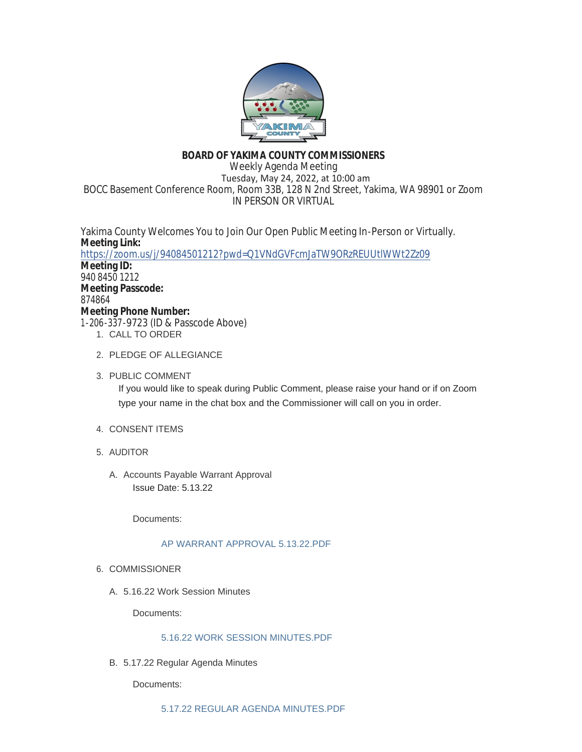

# **BOARD OF YAKIMA COUNTY COMMISSIONERS**

Weekly Agenda Meeting Tuesday, May 24, 2022, at 10:00 am BOCC Basement Conference Room, Room 33B, 128 N 2nd Street, Yakima, WA 98901 or Zoom IN PERSON OR VIRTUAL

Yakima County Welcomes You to Join Our Open Public Meeting In-Person or Virtually. **Meeting Link:** <https://zoom.us/j/94084501212?pwd=Q1VNdGVFcmJaTW9ORzREUUtlWWt2Zz09> **Meeting ID:** 940 8450 1212 **Meeting Passcode:** 874864 **Meeting Phone Number:** 1-206-337-9723 (ID & Passcode Above)

- 1. CALL TO ORDER
- 2. PLEDGE OF ALLEGIANCE
- 3. PUBLIC COMMENT If you would like to speak during Public Comment, please raise your hand or if on Zoom type your name in the chat box and the Commissioner will call on you in order.
- 4. CONSENT ITEMS
- AUDITOR 5.
	- A. Accounts Payable Warrant Approval Issue Date: 5.13.22

Documents:

# [AP WARRANT APPROVAL 5.13.22.PDF](https://www.yakimacounty.us/AgendaCenter/ViewFile/Item/4508?fileID=16213)

- 6. COMMISSIONER
	- 5.16.22 Work Session Minutes A.

Documents:

# [5.16.22 WORK SESSION MINUTES.PDF](https://www.yakimacounty.us/AgendaCenter/ViewFile/Item/4503?fileID=16207)

5.17.22 Regular Agenda Minutes B.

Documents: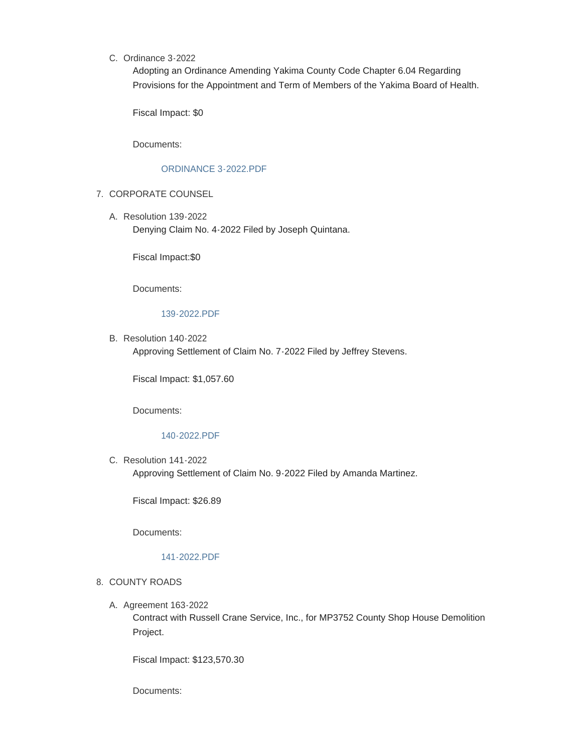C. Ordinance 3-2022

Adopting an Ordinance Amending Yakima County Code Chapter 6.04 Regarding Provisions for the Appointment and Term of Members of the Yakima Board of Health.

Fiscal Impact: \$0

Documents:

### [ORDINANCE 3-2022.PDF](https://www.yakimacounty.us/AgendaCenter/ViewFile/Item/4517?fileID=16221)

- 7. CORPORATE COUNSEL
	- Resolution 139-2022 A. Denying Claim No. 4-2022 Filed by Joseph Quintana.

Fiscal Impact:\$0

Documents:

### [139-2022.PDF](https://www.yakimacounty.us/AgendaCenter/ViewFile/Item/4505?fileID=16209)

B. Resolution 140-2022 Approving Settlement of Claim No. 7-2022 Filed by Jeffrey Stevens.

Fiscal Impact: \$1,057.60

Documents:

#### [140-2022.PDF](https://www.yakimacounty.us/AgendaCenter/ViewFile/Item/4506?fileID=16210)

C. Resolution 141-2022 Approving Settlement of Claim No. 9-2022 Filed by Amanda Martinez.

Fiscal Impact: \$26.89

Documents:

#### [141-2022.PDF](https://www.yakimacounty.us/AgendaCenter/ViewFile/Item/4507?fileID=16212)

## 8. COUNTY ROADS

A. Agreement 163-2022

Contract with Russell Crane Service, Inc., for MP3752 County Shop House Demolition Project.

Fiscal Impact: \$123,570.30

Documents: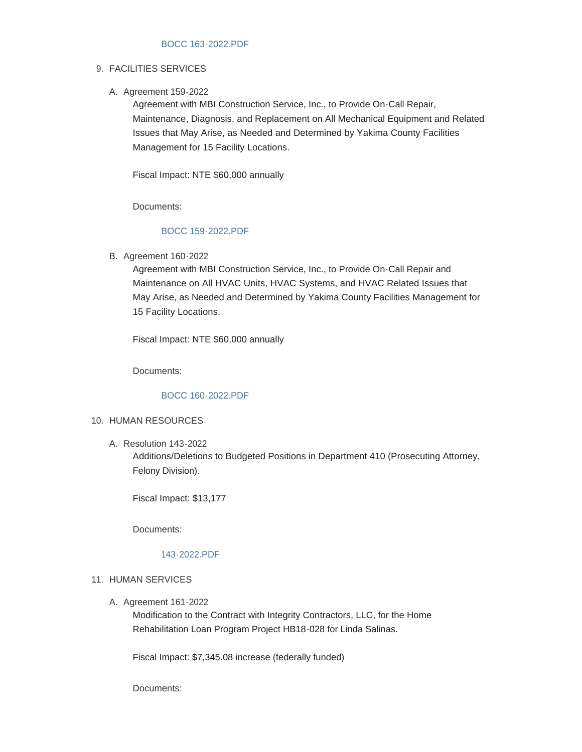## FACILITIES SERVICES 9.

A. Agreement 159-2022

Agreement with MBI Construction Service, Inc., to Provide On-Call Repair, Maintenance, Diagnosis, and Replacement on All Mechanical Equipment and Related Issues that May Arise, as Needed and Determined by Yakima County Facilities Management for 15 Facility Locations.

Fiscal Impact: NTE \$60,000 annually

Documents:

### [BOCC 159-2022.PDF](https://www.yakimacounty.us/AgendaCenter/ViewFile/Item/4510?fileID=16215)

B. Agreement 160-2022

Agreement with MBI Construction Service, Inc., to Provide On-Call Repair and Maintenance on All HVAC Units, HVAC Systems, and HVAC Related Issues that May Arise, as Needed and Determined by Yakima County Facilities Management for 15 Facility Locations.

Fiscal Impact: NTE \$60,000 annually

Documents:

#### [BOCC 160-2022.PDF](https://www.yakimacounty.us/AgendaCenter/ViewFile/Item/4511?fileID=16216)

### 10. HUMAN RESOURCES

Resolution 143-2022 A.

Additions/Deletions to Budgeted Positions in Department 410 (Prosecuting Attorney, Felony Division).

Fiscal Impact: \$13,177

Documents:

#### [143-2022.PDF](https://www.yakimacounty.us/AgendaCenter/ViewFile/Item/4509?fileID=16214)

#### 11. HUMAN SERVICES

A. Agreement 161-2022

Modification to the Contract with Integrity Contractors, LLC, for the Home Rehabilitation Loan Program Project HB18-028 for Linda Salinas.

Fiscal Impact: \$7,345.08 increase (federally funded)

Documents: